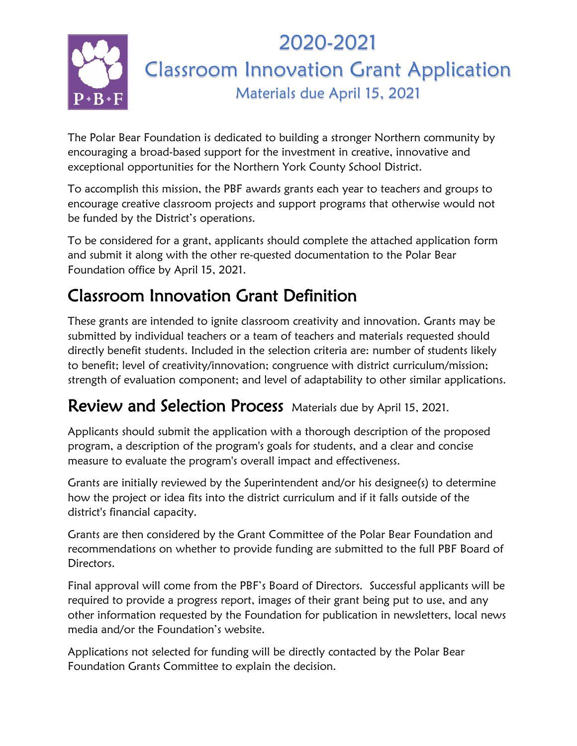

The Polar Bear Foundation is dedicated to building a stronger Northern community by encouraging a broad-based support for the investment in creative, innovative and exceptional opportunities for the Northern York County School District.

To accomplish this mission, the PBF awards grants each year to teachers and groups to encourage creative classroom projects and support programs that otherwise would not be funded by the District's operations.

To be considered for a grant, applicants should complete the attached application form and submit it along with the other re-quested documentation to the Polar Bear Foundation office by April 15, 2021.

## Classroom Innovation Grant Definition

These grants are intended to ignite classroom creativity and innovation. Grants may be submitted by individual teachers or a team of teachers and materials requested should directly benefit students. Included in the selection criteria are: number of students likely to benefit; level of creativity/innovation; congruence with district curriculum/mission; strength of evaluation component; and level of adaptability to other similar applications.

## Review and Selection Process Materials due by April 15, 2021.

Applicants should submit the application with a thorough description of the proposed program, a description of the program's goals for students, and a clear and concise measure to evaluate the program's overall impact and effectiveness.

Grants are initially reviewed by the Superintendent and/or his designee(s) to determine how the project or idea fits into the district curriculum and if it falls outside of the district's financial capacity.

Grants are then considered by the Grant Committee of the Polar Bear Foundation and recommendations on whether to provide funding are submitted to the full PBF Board of Directors.

Final approval will come from the PBF's Board of Directors. Successful applicants will be required to provide a progress report, images of their grant being put to use, and any other information requested by the Foundation for publication in newsletters, local news media and/or the Foundation's website.

Applications not selected for funding will be directly contacted by the Polar Bear Foundation Grants Committee to explain the decision.